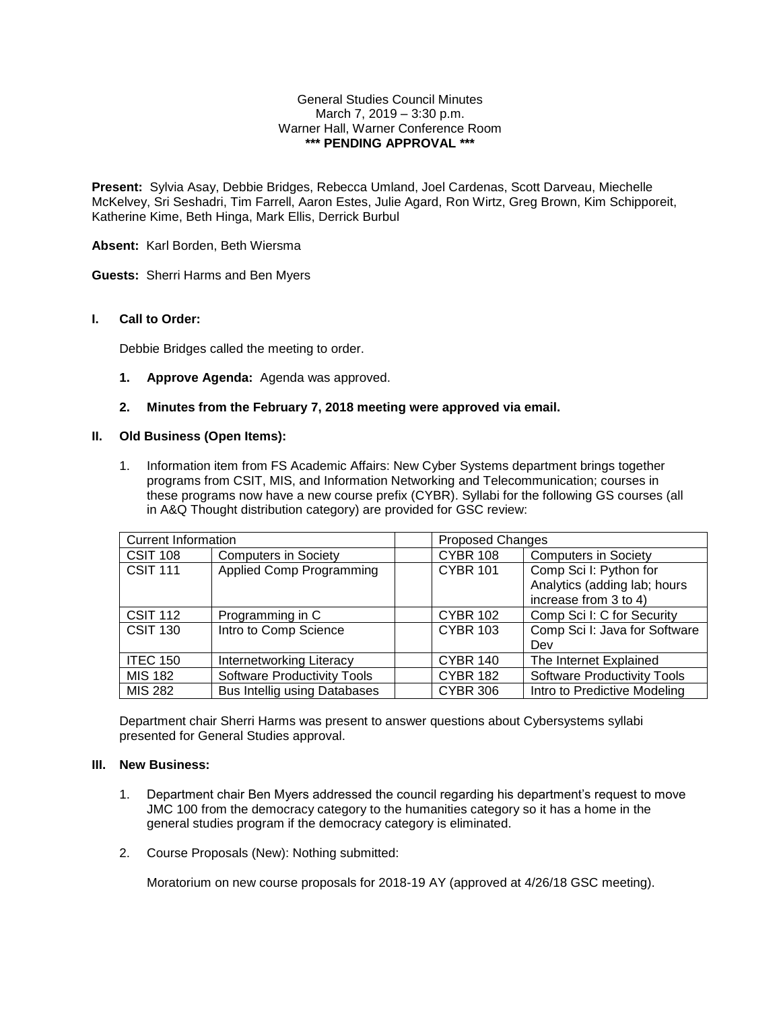### General Studies Council Minutes March 7, 2019 – 3:30 p.m. Warner Hall, Warner Conference Room **\*\*\* PENDING APPROVAL \*\*\***

**Present:** Sylvia Asay, Debbie Bridges, Rebecca Umland, Joel Cardenas, Scott Darveau, Miechelle McKelvey, Sri Seshadri, Tim Farrell, Aaron Estes, Julie Agard, Ron Wirtz, Greg Brown, Kim Schipporeit, Katherine Kime, Beth Hinga, Mark Ellis, Derrick Burbul

**Absent:** Karl Borden, Beth Wiersma

**Guests:** Sherri Harms and Ben Myers

# **I. Call to Order:**

Debbie Bridges called the meeting to order.

**1. Approve Agenda:** Agenda was approved.

# **2. Minutes from the February 7, 2018 meeting were approved via email.**

## **II. Old Business (Open Items):**

1. Information item from FS Academic Affairs: New Cyber Systems department brings together programs from CSIT, MIS, and Information Networking and Telecommunication; courses in these programs now have a new course prefix (CYBR). Syllabi for the following GS courses (all in A&Q Thought distribution category) are provided for GSC review:

| <b>Current Information</b> |                                     |                 | Proposed Changes                   |  |
|----------------------------|-------------------------------------|-----------------|------------------------------------|--|
| <b>CSIT 108</b>            | <b>Computers in Society</b>         | <b>CYBR 108</b> | <b>Computers in Society</b>        |  |
| <b>CSIT 111</b>            | <b>Applied Comp Programming</b>     | <b>CYBR 101</b> | Comp Sci I: Python for             |  |
|                            |                                     |                 | Analytics (adding lab; hours       |  |
|                            |                                     |                 | increase from 3 to 4)              |  |
| <b>CSIT 112</b>            | Programming in C                    | <b>CYBR 102</b> | Comp Sci I: C for Security         |  |
| <b>CSIT 130</b>            | Intro to Comp Science               | <b>CYBR 103</b> | Comp Sci I: Java for Software      |  |
|                            |                                     |                 | Dev                                |  |
| <b>ITEC 150</b>            | <b>Internetworking Literacy</b>     | <b>CYBR 140</b> | The Internet Explained             |  |
| <b>MIS 182</b>             | <b>Software Productivity Tools</b>  | <b>CYBR 182</b> | <b>Software Productivity Tools</b> |  |
| <b>MIS 282</b>             | <b>Bus Intellig using Databases</b> | <b>CYBR 306</b> | Intro to Predictive Modeling       |  |

Department chair Sherri Harms was present to answer questions about Cybersystems syllabi presented for General Studies approval.

## **III. New Business:**

- 1. Department chair Ben Myers addressed the council regarding his department's request to move JMC 100 from the democracy category to the humanities category so it has a home in the general studies program if the democracy category is eliminated.
- 2. Course Proposals (New): Nothing submitted:

Moratorium on new course proposals for 2018-19 AY (approved at 4/26/18 GSC meeting).